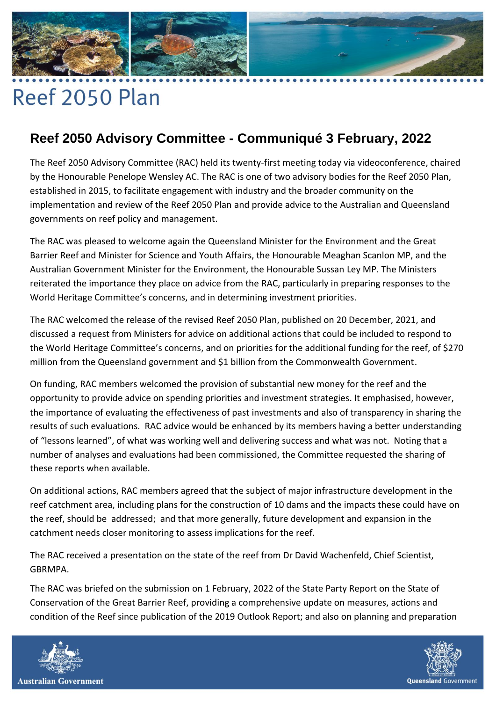## 

## Reef 2050 Plan

## **Reef 2050 Advisory Committee - Communiqué 3 February, 2022**

The Reef 2050 Advisory Committee (RAC) held its twenty-first meeting today via videoconference, chaired by the Honourable Penelope Wensley AC. The RAC is one of two advisory bodies for the Reef 2050 Plan, established in 2015, to facilitate engagement with industry and the broader community on the implementation and review of the Reef 2050 Plan and provide advice to the Australian and Queensland governments on reef policy and management.

The RAC was pleased to welcome again the Queensland Minister for the Environment and the Great Barrier Reef and Minister for Science and Youth Affairs, the Honourable Meaghan Scanlon MP, and the Australian Government Minister for the Environment, the Honourable Sussan Ley MP. The Ministers reiterated the importance they place on advice from the RAC, particularly in preparing responses to the World Heritage Committee's concerns, and in determining investment priorities.

The RAC welcomed the release of the revised Reef 2050 Plan, published on 20 December, 2021, and discussed a request from Ministers for advice on additional actions that could be included to respond to the World Heritage Committee's concerns, and on priorities for the additional funding for the reef, of \$270 million from the Queensland government and \$1 billion from the Commonwealth Government.

On funding, RAC members welcomed the provision of substantial new money for the reef and the opportunity to provide advice on spending priorities and investment strategies. It emphasised, however, the importance of evaluating the effectiveness of past investments and also of transparency in sharing the results of such evaluations. RAC advice would be enhanced by its members having a better understanding of "lessons learned", of what was working well and delivering success and what was not. Noting that a number of analyses and evaluations had been commissioned, the Committee requested the sharing of these reports when available.

On additional actions, RAC members agreed that the subject of major infrastructure development in the reef catchment area, including plans for the construction of 10 dams and the impacts these could have on the reef, should be addressed; and that more generally, future development and expansion in the catchment needs closer monitoring to assess implications for the reef.

The RAC received a presentation on the state of the reef from Dr David Wachenfeld, Chief Scientist, GBRMPA.

The RAC was briefed on the submission on 1 February, 2022 of the State Party Report on the State of Conservation of the Great Barrier Reef, providing a comprehensive update on measures, actions and condition of the Reef since publication of the 2019 Outlook Report; and also on planning and preparation